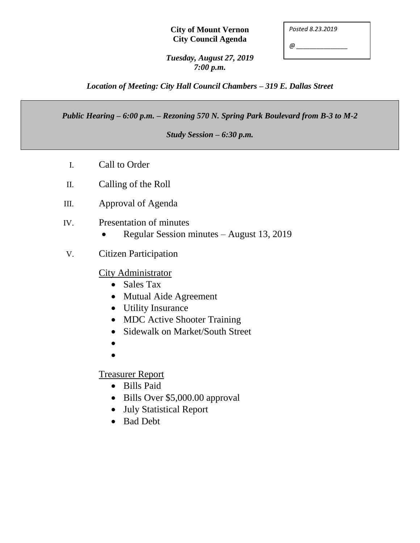## **City of Mount Vernon City Council Agenda**

| Posted 8.23.2019 |
|------------------|
|------------------|

*@ \_\_\_\_\_\_\_\_\_\_\_\_\_\_\_*

*Tuesday, August 27, 2019 7:00 p.m.*

*Location of Meeting: City Hall Council Chambers – 319 E. Dallas Street*

*Public Hearing – 6:00 p.m. – Rezoning 570 N. Spring Park Boulevard from B-3 to M-2*

*Study Session – 6:30 p.m.*

- I. Call to Order
- II. Calling of the Roll
- III. Approval of Agenda
- IV. Presentation of minutes
	- Regular Session minutes August 13, 2019
- V. Citizen Participation

## City Administrator

- Sales Tax
- Mutual Aide Agreement
- Utility Insurance
- MDC Active Shooter Training
- Sidewalk on Market/South Street
- $\bullet$
- $\bullet$

Treasurer Report

- Bills Paid
- Bills Over \$5,000.00 approval
- July Statistical Report
- Bad Debt